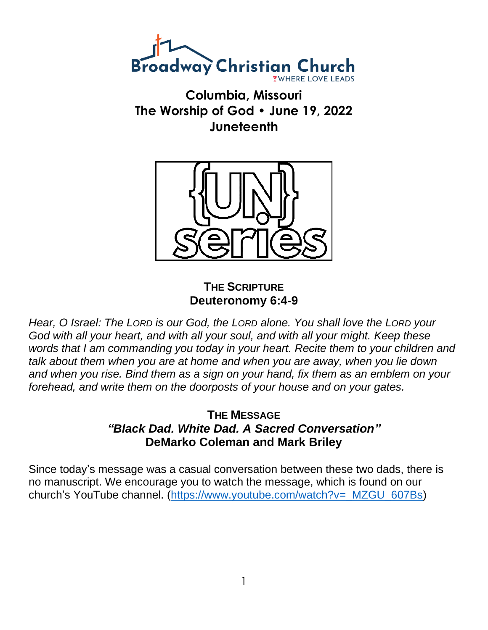

**Columbia, Missouri The Worship of God • June 19, 2022 Juneteenth**



## **THE SCRIPTURE Deuteronomy 6:4-9**

*Hear, O Israel: The LORD is our God, the LORD alone. You shall love the LORD your God with all your heart, and with all your soul, and with all your might. Keep these words that I am commanding you today in your heart. Recite them to your children and talk about them when you are at home and when you are away, when you lie down and when you rise. Bind them as a sign on your hand, fix them as an emblem on your forehead, and write them on the doorposts of your house and on your gates.*

## **THE MESSAGE** *"Black Dad. White Dad. A Sacred Conversation"* **DeMarko Coleman and Mark Briley**

Since today's message was a casual conversation between these two dads, there is no manuscript. We encourage you to watch the message, which is found on our church's YouTube channel. [\(https://www.youtube.com/watch?v=\\_MZGU\\_607Bs\)](https://www.youtube.com/watch?v=_MZGU_607Bs)